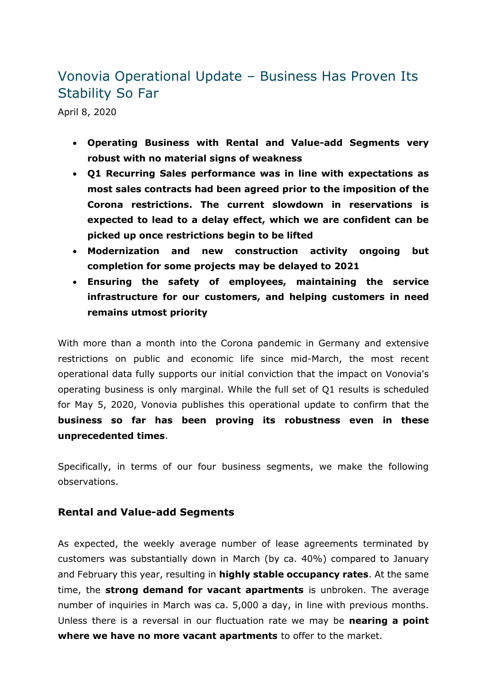# Vonovia Operational Update – Business Has Proven Its Stability So Far

April 8, 2020

- **Operating Business with Rental and Value-add Segments very robust with no material signs of weakness**
- **Q1 Recurring Sales performance was in line with expectations as most sales contracts had been agreed prior to the imposition of the Corona restrictions. The current slowdown in reservations is expected to lead to a delay effect, which we are confident can be picked up once restrictions begin to be lifted**
- **Modernization and new construction activity ongoing but completion for some projects may be delayed to 2021**
- **Ensuring the safety of employees, maintaining the service infrastructure for our customers, and helping customers in need remains utmost priority**

With more than a month into the Corona pandemic in Germany and extensive restrictions on public and economic life since mid-March, the most recent operational data fully supports our initial conviction that the impact on Vonovia's operating business is only marginal. While the full set of Q1 results is scheduled for May 5, 2020, Vonovia publishes this operational update to confirm that the **business so far has been proving its robustness even in these unprecedented times**.

Specifically, in terms of our four business segments, we make the following observations.

### **Rental and Value-add Segments**

As expected, the weekly average number of lease agreements terminated by customers was substantially down in March (by ca. 40%) compared to January and February this year, resulting in **highly stable occupancy rates**. At the same time, the **strong demand for vacant apartments** is unbroken. The average number of inquiries in March was ca. 5,000 a day, in line with previous months. Unless there is a reversal in our fluctuation rate we may be **nearing a point where we have no more vacant apartments** to offer to the market.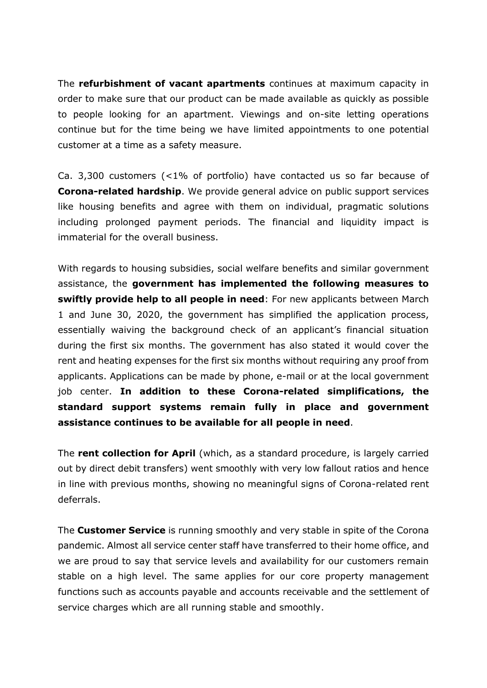The **refurbishment of vacant apartments** continues at maximum capacity in order to make sure that our product can be made available as quickly as possible to people looking for an apartment. Viewings and on-site letting operations continue but for the time being we have limited appointments to one potential customer at a time as a safety measure.

Ca. 3,300 customers (<1% of portfolio) have contacted us so far because of **Corona-related hardship**. We provide general advice on public support services like housing benefits and agree with them on individual, pragmatic solutions including prolonged payment periods. The financial and liquidity impact is immaterial for the overall business.

With regards to housing subsidies, social welfare benefits and similar government assistance, the **government has implemented the following measures to swiftly provide help to all people in need**: For new applicants between March 1 and June 30, 2020, the government has simplified the application process, essentially waiving the background check of an applicant's financial situation during the first six months. The government has also stated it would cover the rent and heating expenses for the first six months without requiring any proof from applicants. Applications can be made by phone, e-mail or at the local government job center. **In addition to these Corona-related simplifications, the standard support systems remain fully in place and government assistance continues to be available for all people in need**.

The **rent collection for April** (which, as a standard procedure, is largely carried out by direct debit transfers) went smoothly with very low fallout ratios and hence in line with previous months, showing no meaningful signs of Corona-related rent deferrals.

The **Customer Service** is running smoothly and very stable in spite of the Corona pandemic. Almost all service center staff have transferred to their home office, and we are proud to say that service levels and availability for our customers remain stable on a high level. The same applies for our core property management functions such as accounts payable and accounts receivable and the settlement of service charges which are all running stable and smoothly.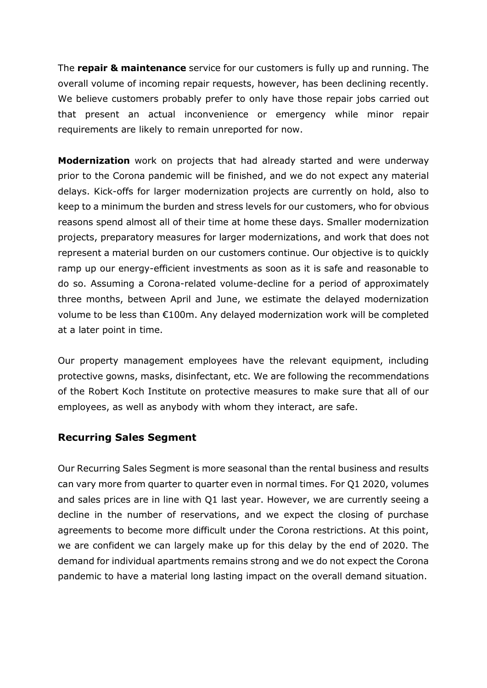The **repair & maintenance** service for our customers is fully up and running. The overall volume of incoming repair requests, however, has been declining recently. We believe customers probably prefer to only have those repair jobs carried out that present an actual inconvenience or emergency while minor repair requirements are likely to remain unreported for now.

**Modernization** work on projects that had already started and were underway prior to the Corona pandemic will be finished, and we do not expect any material delays. Kick-offs for larger modernization projects are currently on hold, also to keep to a minimum the burden and stress levels for our customers, who for obvious reasons spend almost all of their time at home these days. Smaller modernization projects, preparatory measures for larger modernizations, and work that does not represent a material burden on our customers continue. Our objective is to quickly ramp up our energy-efficient investments as soon as it is safe and reasonable to do so. Assuming a Corona-related volume-decline for a period of approximately three months, between April and June, we estimate the delayed modernization volume to be less than €100m. Any delayed modernization work will be completed at a later point in time.

Our property management employees have the relevant equipment, including protective gowns, masks, disinfectant, etc. We are following the recommendations of the Robert Koch Institute on protective measures to make sure that all of our employees, as well as anybody with whom they interact, are safe.

## **Recurring Sales Segment**

Our Recurring Sales Segment is more seasonal than the rental business and results can vary more from quarter to quarter even in normal times. For Q1 2020, volumes and sales prices are in line with Q1 last year. However, we are currently seeing a decline in the number of reservations, and we expect the closing of purchase agreements to become more difficult under the Corona restrictions. At this point, we are confident we can largely make up for this delay by the end of 2020. The demand for individual apartments remains strong and we do not expect the Corona pandemic to have a material long lasting impact on the overall demand situation.